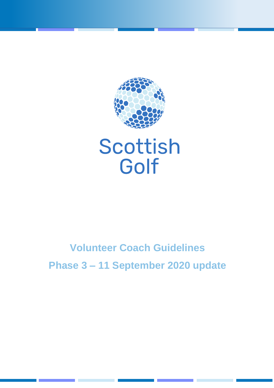

# **Volunteer Coach Guidelines**

**Phase 3 – 11 September 2020 update**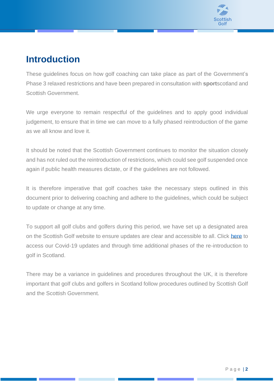

### **Introduction**

These guidelines focus on how golf coaching can take place as part of the Government's Phase 3 relaxed restrictions and have been prepared in consultation with **sport**scotland and Scottish Government.

We urge everyone to remain respectful of the guidelines and to apply good individual judgement, to ensure that in time we can move to a fully phased reintroduction of the game as we all know and love it.

It should be noted that the Scottish Government continues to monitor the situation closely and has not ruled out the reintroduction of restrictions, which could see golf suspended once again if public health measures dictate, or if the guidelines are not followed.

It is therefore imperative that golf coaches take the necessary steps outlined in this document prior to delivering coaching and adhere to the guidelines, which could be subject to update or change at any time.

To support all golf clubs and golfers during this period, we have set up a designated area on the Scottish Golf website to ensure updates are clear and accessible to all. Click [here](https://scottishgolf.org/coronavirus-covid-19-updates/) to access our Covid-19 updates and through time additional phases of the re-introduction to golf in Scotland.

There may be a variance in guidelines and procedures throughout the UK, it is therefore important that golf clubs and golfers in Scotland follow procedures outlined by Scottish Golf and the Scottish Government.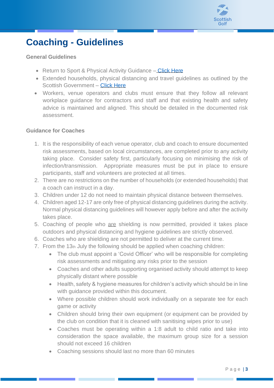

## **Coaching - Guidelines**

#### **General Guidelines**

- Return to Sport & Physical Activity Guidance [Click Here](http://www.sportscotland.org.uk/covid-19/latest-outdoor-sport-and-physical-activity-guidance/)
- Extended households, physical distancing and travel guidelines as outlined by the Scottish Government – [Click Here](http://www.gov.scot/publications/coronavirus-covid-19-phase-2-staying-safe-and-protecting-others/pages/meeting-others/)
- Workers, venue operators and clubs must ensure that they follow all relevant workplace guidance for contractors and staff and that existing health and safety advice is maintained and aligned. This should be detailed in the documented risk assessment.

#### **Guidance for Coaches**

- 1. It is the responsibility of each venue operator, club and coach to ensure documented risk assessments, based on local circumstances, are completed prior to any activity taking place. Consider safety first, particularly focusing on minimising the risk of infection/transmission. Appropriate measures must be put in place to ensure participants, staff and volunteers are protected at all times.
- 2. There are no restrictions on the number of households (or extended households) that a coach can instruct in a day.
- 3. Children under 12 do not need to maintain physical distance between themselves.
- 4. Children aged 12-17 are only free of physical distancing guidelines during the activity. Normal physical distancing guidelines will however apply before and after the activity takes place.
- 5. Coaching of people who are shielding is now permitted, provided it takes place outdoors and physical distancing and hygiene guidelines are strictly observed.
- 6. Coaches who are shielding are not permitted to deliver at the current time.
- 7. From the 13th July the following should be applied when coaching children:
	- The club must appoint a 'Covid Officer' who will be responsible for completing risk assessments and mitigating any risks prior to the session
	- Coaches and other adults supporting organised activity should attempt to keep physically distant where possible
	- Health, safety & hygiene measures for children's activity which should be in line with guidance provided within this document.
	- Where possible children should work individually on a separate tee for each game or activity
	- Children should bring their own equipment (or equipment can be provided by the club on condition that it is cleaned with sanitising wipes prior to use)
	- Coaches must be operating within a 1:8 adult to child ratio and take into consideration the space available, the maximum group size for a session should not exceed 16 children
	- Coaching sessions should last no more than 60 minutes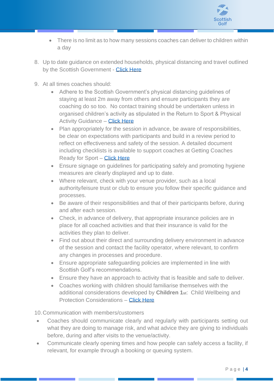

- There is no limit as to how many sessions coaches can deliver to children within a day
- 8. Up to date guidance on extended households, physical distancing and travel outlined by the Scottish Government - [Click Here](http://www.gov.scot/publications/coronavirus-covid-19-phase-2-staying-safe-and-protecting-others/pages/meeting-others/)
- 9. At all times coaches should:
	- Adhere to the Scottish Government's physical distancing guidelines of staying at least 2m away from others and ensure participants they are coaching do so too. No contact training should be undertaken unless in organised children's activity as stipulated in the Return to Sport & Physical Activity Guidance – [Click Here](http://www.sportscotland.org.uk/covid-19/latest-outdoor-sport-and-physical-activity-guidance/)
	- Plan appropriately for the session in advance, be aware of responsibilities, be clear on expectations with participants and build in a review period to reflect on effectiveness and safety of the session. A detailed document including checklists is available to support coaches at Getting Coaches Ready for Sport – [Click Here](http://www.sportscotland.org.uk/covid-19/getting-your-coaches-ready-for-sport/)
	- Ensure signage on guidelines for participating safely and promoting hygiene measures are clearly displayed and up to date.
	- Where relevant, check with your venue provider, such as a local authority/leisure trust or club to ensure you follow their specific guidance and processes.
	- Be aware of their responsibilities and that of their participants before, during and after each session.
	- Check, in advance of delivery, that appropriate insurance policies are in place for all coached activities and that their insurance is valid for the activities they plan to deliver.
	- Find out about their direct and surrounding delivery environment in advance of the session and contact the facility operator, where relevant, to confirm any changes in processes and procedure.
	- Ensure appropriate safeguarding policies are implemented in line with Scottish Golf's recommendations.
	- Ensure they have an approach to activity that is feasible and safe to deliver.
	- Coaches working with children should familiarise themselves with the additional considerations developed by **Children 1st**: [Child Wellbeing and](http://www.sportscotland.org.uk/media/5774/cyp-return-to-sport-after-covid-19.pdf)  [Protection Considerations](http://www.sportscotland.org.uk/media/5774/cyp-return-to-sport-after-covid-19.pdf) – [Click Here](http://www.sportscotland.org.uk/media/5774/cyp-return-to-sport-after-covid-19.pdf)

10.Communication with members/customers

- Coaches should communicate clearly and regularly with participants setting out what they are doing to manage risk, and what advice they are giving to individuals before, during and after visits to the venue/activity.
- Communicate clearly opening times and how people can safely access a facility, if relevant, for example through a booking or queuing system.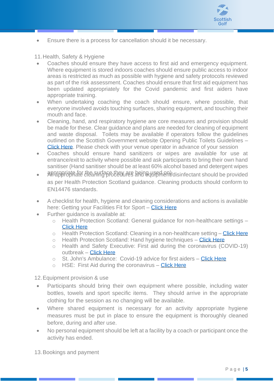

• Ensure there is a process for cancellation should it be necessary.

11.Health, Safety & Hygiene

- Coaches should ensure they have access to first aid and emergency equipment. Where equipment is stored indoors coaches should ensure public access to indoor areas is restricted as much as possible with hygiene and safety protocols reviewed as part of the risk assessment. Coaches should ensure that first aid equipment has been updated appropriately for the Covid pandemic and first aiders have appropriate training.
- When undertaking coaching the coach should ensure, where possible, that everyone involved avoids touching surfaces, sharing equipment, and touching their mouth and face.
- Cleaning, hand, and respiratory hygiene are core measures and provision should be made for these. Clear guidance and plans are needed for cleaning of equipment and waste disposal. Toilets may be available if operators follow the guidelines outlined on the Scottish Government website Opening Public Toilets Guidelines – [Click Here.](http://www.gov.scot/publications/coronavirus-covid-19-public-and-customer-toilets-guidance/pages/overview/) Please check with your venue operator in advance of your session
- Coaches should ensure hand sanitizers or wipes are available for use at entrance/exit to activity where possible and ask participants to bring their own hand sanitiser (Hand sanitiser should be at least 60% alcohol based and detergent wipes
- appropriate for the surface they are being used on) disinfectant should be provided as per Health Protection Scotland guidance. Cleaning products should conform to EN14476 standards.
- A checklist for health, hygiene and cleaning considerations and actions is available here: Getting your Facilities Fit for Sport – [Click Here](http://www.sportscotland.org.uk/covid-19/getting-your-facilities-fit-for-sport/)
- Further guidance is available at:
	- o Health Protection Scotland: General guidance for non-healthcare settings [Click Here](http://www.hps.scot.nhs.uk/web-resources-container/covid-19-guidance-for-non-healthcare-settings/)
	- $\circ$  Health Protection Scotland: Cleaning in a non-healthcare setting [Click Here](http://www.gov.uk/government/publications/covid-19-decontamination-in-non-healthcare-settings/covid-19-decontamination-in-non-healthcare-settings)
	- $\circ$  Health Protection Scotland: Hand hygiene techniques [Click Here](http://www.hps.scot.nhs.uk/a-to-z-of-topics/hand-hygiene/)
	- o Health and Safety Executive: First aid during the coronavirus (COVID-19) outbreak – [Click Here](https://www.hse.gov.uk/coronavirus/first-aid-and-medicals/first-aid-certificate-coronavirus.htm)
	- o St. John's Ambulance: Covid-19 advice for first aiders [Click Here](http://www.sja.org.uk/get-advice/first-aid-advice/covid-19-advice-for-first-aiders/)
	- $\circ$  HSE: First Aid during the coronavirus [Click Here](http://www.hse.gov.uk/coronavirus/first-aid-and-medicals/first-aid-certificate-coronavirus.htm)

12.Equipment provision & use

- Participants should bring their own equipment where possible, including water bottles, towels and sport specific items. They should arrive in the appropriate clothing for the session as no changing will be available.
- Where shared equipment is necessary for an activity appropriate hygiene measures must be put in place to ensure the equipment is thoroughly cleaned before, during and after use.
- No personal equipment should be left at a facility by a coach or participant once the activity has ended.

13.Bookings and payment